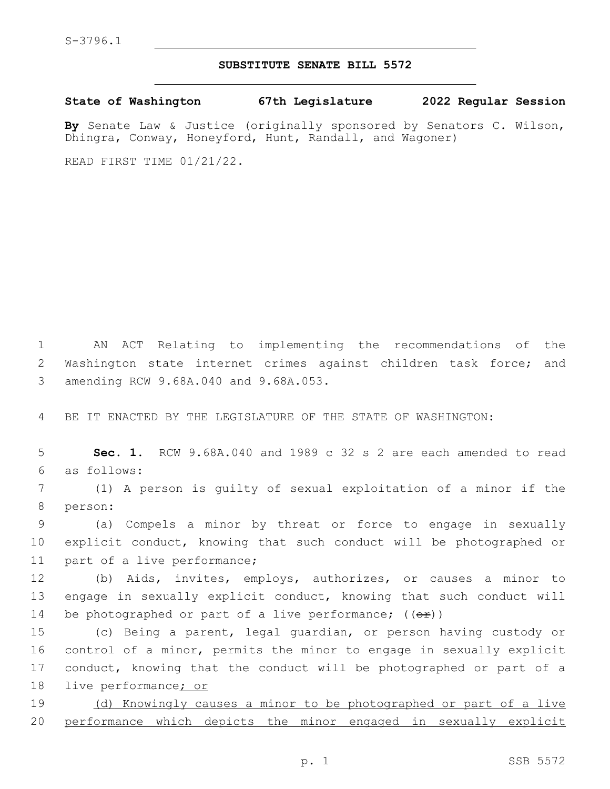## **SUBSTITUTE SENATE BILL 5572**

**State of Washington 67th Legislature 2022 Regular Session**

**By** Senate Law & Justice (originally sponsored by Senators C. Wilson, Dhingra, Conway, Honeyford, Hunt, Randall, and Wagoner)

READ FIRST TIME 01/21/22.

1 AN ACT Relating to implementing the recommendations of the 2 Washington state internet crimes against children task force; and 3 amending RCW 9.68A.040 and 9.68A.053.

4 BE IT ENACTED BY THE LEGISLATURE OF THE STATE OF WASHINGTON:

5 **Sec. 1.** RCW 9.68A.040 and 1989 c 32 s 2 are each amended to read as follows:6

7 (1) A person is guilty of sexual exploitation of a minor if the 8 person:

9 (a) Compels a minor by threat or force to engage in sexually 10 explicit conduct, knowing that such conduct will be photographed or 11 part of a live performance;

12 (b) Aids, invites, employs, authorizes, or causes a minor to 13 engage in sexually explicit conduct, knowing that such conduct will 14 be photographed or part of a live performance;  $((e^E))^2$ 

 (c) Being a parent, legal guardian, or person having custody or control of a minor, permits the minor to engage in sexually explicit conduct, knowing that the conduct will be photographed or part of a live performance; or

19 (d) Knowingly causes a minor to be photographed or part of a live 20 performance which depicts the minor engaged in sexually explicit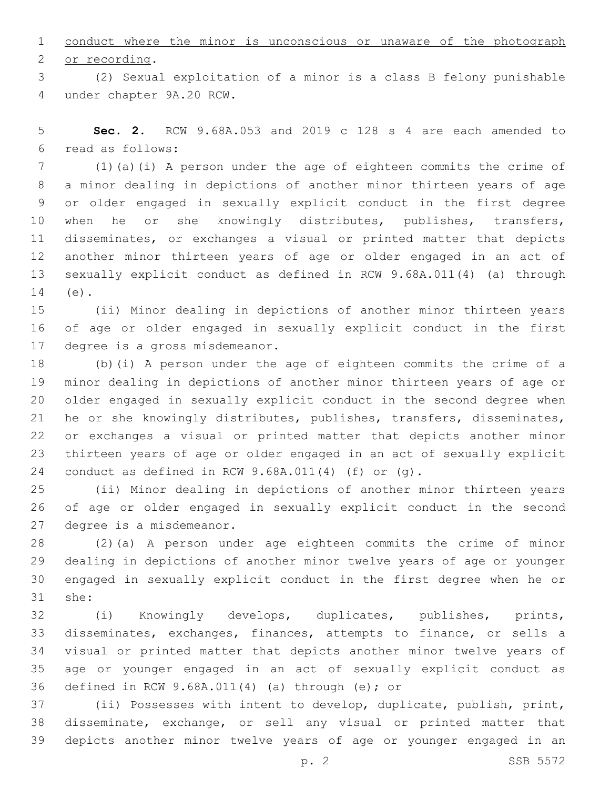conduct where the minor is unconscious or unaware of the photograph 2 or recording.

 (2) Sexual exploitation of a minor is a class B felony punishable under chapter 9A.20 RCW.4

 **Sec. 2.** RCW 9.68A.053 and 2019 c 128 s 4 are each amended to read as follows:6

 (1)(a)(i) A person under the age of eighteen commits the crime of a minor dealing in depictions of another minor thirteen years of age or older engaged in sexually explicit conduct in the first degree 10 when he or she knowingly distributes, publishes, transfers, disseminates, or exchanges a visual or printed matter that depicts another minor thirteen years of age or older engaged in an act of sexually explicit conduct as defined in RCW 9.68A.011(4) (a) through 14 (e).

 (ii) Minor dealing in depictions of another minor thirteen years of age or older engaged in sexually explicit conduct in the first 17 degree is a gross misdemeanor.

 (b)(i) A person under the age of eighteen commits the crime of a minor dealing in depictions of another minor thirteen years of age or older engaged in sexually explicit conduct in the second degree when he or she knowingly distributes, publishes, transfers, disseminates, or exchanges a visual or printed matter that depicts another minor thirteen years of age or older engaged in an act of sexually explicit conduct as defined in RCW 9.68A.011(4) (f) or (g).

 (ii) Minor dealing in depictions of another minor thirteen years of age or older engaged in sexually explicit conduct in the second 27 degree is a misdemeanor.

 (2)(a) A person under age eighteen commits the crime of minor dealing in depictions of another minor twelve years of age or younger engaged in sexually explicit conduct in the first degree when he or 31 she:

 (i) Knowingly develops, duplicates, publishes, prints, disseminates, exchanges, finances, attempts to finance, or sells a visual or printed matter that depicts another minor twelve years of age or younger engaged in an act of sexually explicit conduct as 36 defined in RCW  $9.68A.011(4)$  (a) through (e); or

 (ii) Possesses with intent to develop, duplicate, publish, print, disseminate, exchange, or sell any visual or printed matter that depicts another minor twelve years of age or younger engaged in an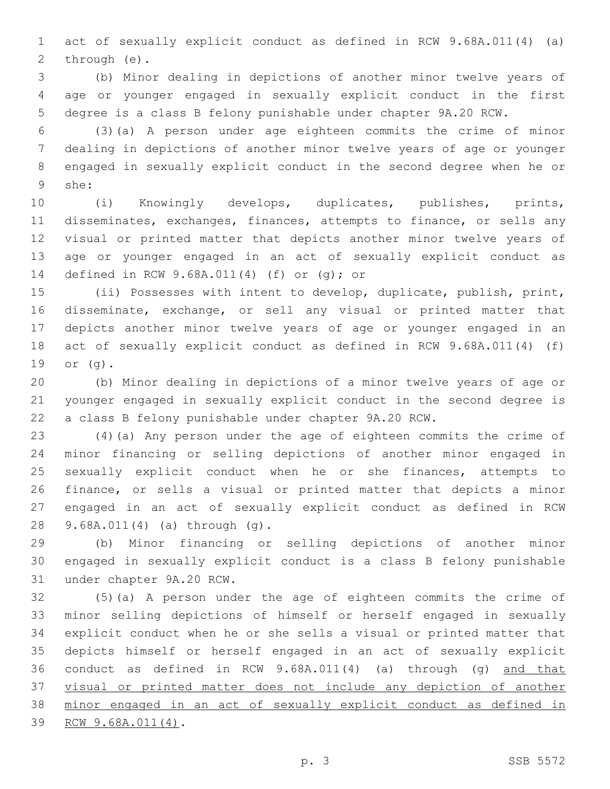act of sexually explicit conduct as defined in RCW 9.68A.011(4) (a) 2 through (e).

 (b) Minor dealing in depictions of another minor twelve years of age or younger engaged in sexually explicit conduct in the first degree is a class B felony punishable under chapter 9A.20 RCW.

 (3)(a) A person under age eighteen commits the crime of minor dealing in depictions of another minor twelve years of age or younger engaged in sexually explicit conduct in the second degree when he or she:9

 (i) Knowingly develops, duplicates, publishes, prints, disseminates, exchanges, finances, attempts to finance, or sells any visual or printed matter that depicts another minor twelve years of age or younger engaged in an act of sexually explicit conduct as 14 defined in RCW 9.68A.011(4) (f) or (g); or

 (ii) Possesses with intent to develop, duplicate, publish, print, disseminate, exchange, or sell any visual or printed matter that depicts another minor twelve years of age or younger engaged in an act of sexually explicit conduct as defined in RCW 9.68A.011(4) (f) 19 or (g).

 (b) Minor dealing in depictions of a minor twelve years of age or younger engaged in sexually explicit conduct in the second degree is a class B felony punishable under chapter 9A.20 RCW.

 (4)(a) Any person under the age of eighteen commits the crime of minor financing or selling depictions of another minor engaged in sexually explicit conduct when he or she finances, attempts to finance, or sells a visual or printed matter that depicts a minor engaged in an act of sexually explicit conduct as defined in RCW 9.68A.011(4) (a) through (g).28

 (b) Minor financing or selling depictions of another minor engaged in sexually explicit conduct is a class B felony punishable 31 under chapter 9A.20 RCW.

 (5)(a) A person under the age of eighteen commits the crime of minor selling depictions of himself or herself engaged in sexually explicit conduct when he or she sells a visual or printed matter that depicts himself or herself engaged in an act of sexually explicit conduct as defined in RCW 9.68A.011(4) (a) through (g) and that visual or printed matter does not include any depiction of another minor engaged in an act of sexually explicit conduct as defined in 39 RCW 9.68A.011(4).